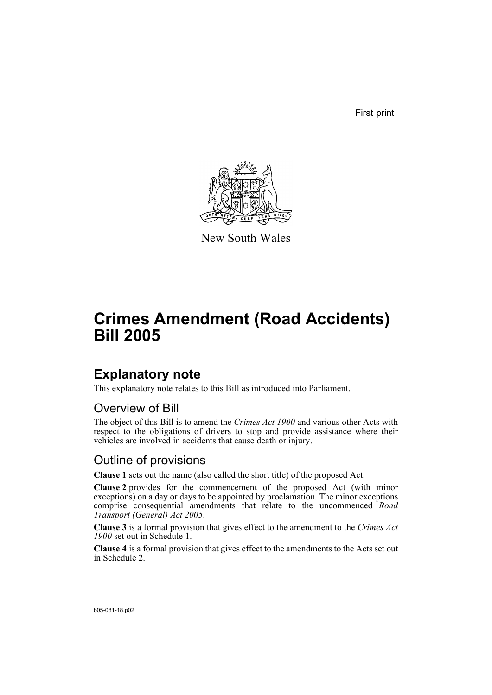First print



New South Wales

# **Crimes Amendment (Road Accidents) Bill 2005**

## **Explanatory note**

This explanatory note relates to this Bill as introduced into Parliament.

### Overview of Bill

The object of this Bill is to amend the *Crimes Act 1900* and various other Acts with respect to the obligations of drivers to stop and provide assistance where their vehicles are involved in accidents that cause death or injury.

### Outline of provisions

**Clause 1** sets out the name (also called the short title) of the proposed Act.

**Clause 2** provides for the commencement of the proposed Act (with minor exceptions) on a day or days to be appointed by proclamation. The minor exceptions comprise consequential amendments that relate to the uncommenced *Road Transport (General) Act 2005*.

**Clause 3** is a formal provision that gives effect to the amendment to the *Crimes Act 1900* set out in Schedule 1.

**Clause 4** is a formal provision that gives effect to the amendments to the Acts set out in Schedule 2.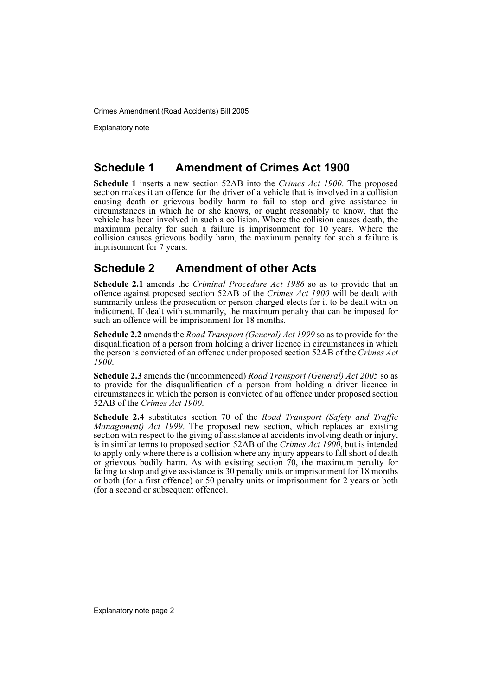Explanatory note

#### **Schedule 1 Amendment of Crimes Act 1900**

**Schedule 1** inserts a new section 52AB into the *Crimes Act 1900*. The proposed section makes it an offence for the driver of a vehicle that is involved in a collision causing death or grievous bodily harm to fail to stop and give assistance in circumstances in which he or she knows, or ought reasonably to know, that the vehicle has been involved in such a collision. Where the collision causes death, the maximum penalty for such a failure is imprisonment for 10 years. Where the collision causes grievous bodily harm, the maximum penalty for such a failure is imprisonment for 7 years.

#### **Schedule 2 Amendment of other Acts**

**Schedule 2.1** amends the *Criminal Procedure Act 1986* so as to provide that an offence against proposed section 52AB of the *Crimes Act 1900* will be dealt with summarily unless the prosecution or person charged elects for it to be dealt with on indictment. If dealt with summarily, the maximum penalty that can be imposed for such an offence will be imprisonment for 18 months.

**Schedule 2.2** amends the *Road Transport (General) Act 1999* so as to provide for the disqualification of a person from holding a driver licence in circumstances in which the person is convicted of an offence under proposed section 52AB of the *Crimes Act 1900*.

**Schedule 2.3** amends the (uncommenced) *Road Transport (General) Act 2005* so as to provide for the disqualification of a person from holding a driver licence in circumstances in which the person is convicted of an offence under proposed section 52AB of the *Crimes Act 1900*.

**Schedule 2.4** substitutes section 70 of the *Road Transport (Safety and Traffic Management) Act 1999*. The proposed new section, which replaces an existing section with respect to the giving of assistance at accidents involving death or injury, is in similar terms to proposed section 52AB of the *Crimes Act 1900*, but is intended to apply only where there is a collision where any injury appears to fall short of death or grievous bodily harm. As with existing section 70, the maximum penalty for failing to stop and give assistance is 30 penalty units or imprisonment for 18 months or both (for a first offence) or 50 penalty units or imprisonment for 2 years or both (for a second or subsequent offence).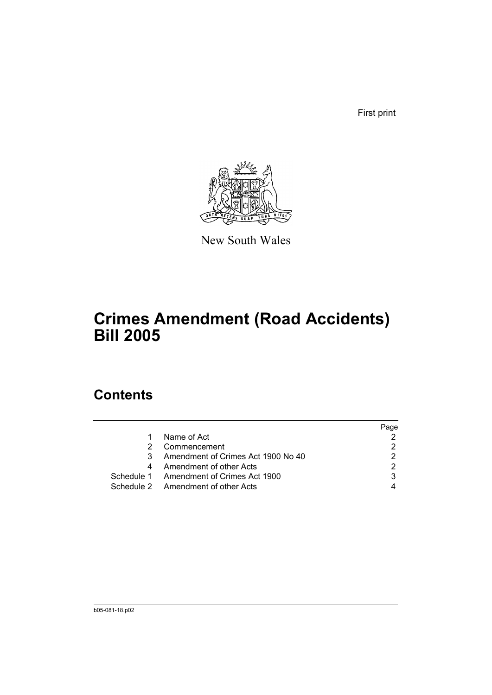First print



New South Wales

## **Crimes Amendment (Road Accidents) Bill 2005**

## **Contents**

|    |                                         | Page |
|----|-----------------------------------------|------|
| 1  | Name of Act                             |      |
| 2. | Commencement                            |      |
| 3  | Amendment of Crimes Act 1900 No 40      |      |
| 4  | Amendment of other Acts                 |      |
|    | Schedule 1 Amendment of Crimes Act 1900 |      |
|    | Schedule 2 Amendment of other Acts      |      |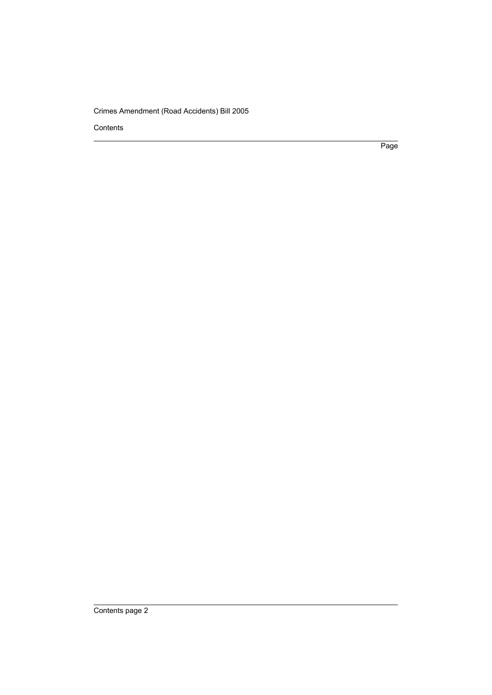Contents

Page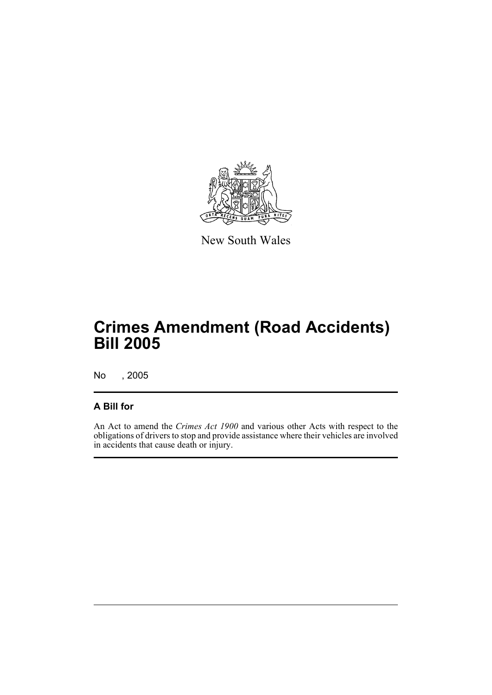

New South Wales

## **Crimes Amendment (Road Accidents) Bill 2005**

No , 2005

#### **A Bill for**

An Act to amend the *Crimes Act 1900* and various other Acts with respect to the obligations of drivers to stop and provide assistance where their vehicles are involved in accidents that cause death or injury.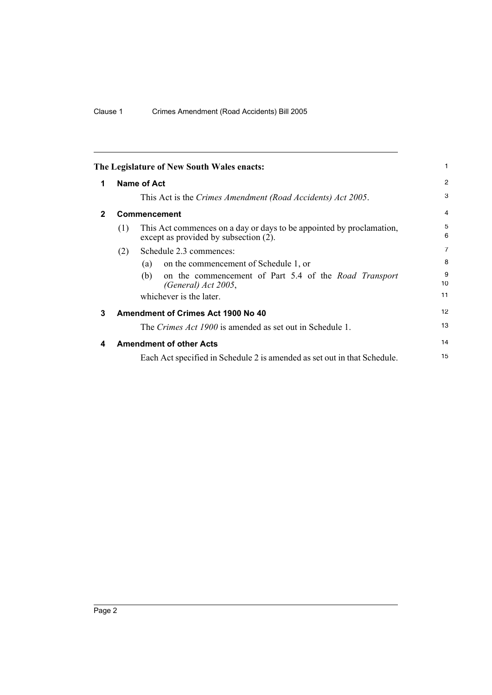|              |             | The Legislature of New South Wales enacts:                                                                    | 1              |
|--------------|-------------|---------------------------------------------------------------------------------------------------------------|----------------|
| 1            | Name of Act |                                                                                                               |                |
|              |             | This Act is the Crimes Amendment (Road Accidents) Act 2005.                                                   | 3              |
| $\mathbf{2}$ |             | <b>Commencement</b>                                                                                           | $\overline{4}$ |
|              | (1)         | This Act commences on a day or days to be appointed by proclamation,<br>except as provided by subsection (2). | 5<br>6         |
|              | (2)         | Schedule 2.3 commences:                                                                                       | $\overline{7}$ |
|              |             | on the commencement of Schedule 1, or<br>(a)                                                                  | 8              |
|              |             | on the commencement of Part 5.4 of the <i>Road Transport</i><br>(b)<br>(General) $Act$ 2005,                  | 9<br>10        |
|              |             | whichever is the later.                                                                                       | 11             |
| 3            |             | Amendment of Crimes Act 1900 No 40                                                                            | 12             |
|              |             | The Crimes Act 1900 is amended as set out in Schedule 1.                                                      | 13             |
| 4            |             | <b>Amendment of other Acts</b>                                                                                | 14             |
|              |             | Each Act specified in Schedule 2 is amended as set out in that Schedule.                                      | 15             |
|              |             |                                                                                                               |                |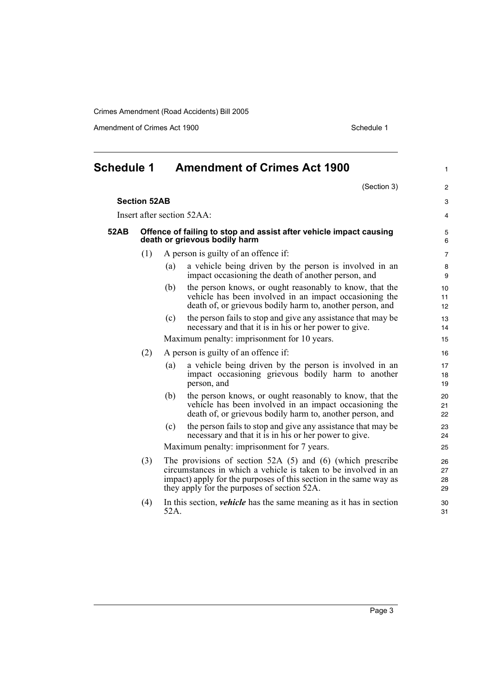Amendment of Crimes Act 1900 Schedule 1

| <b>Schedule 1</b> |                     |                                                                                                     | <b>Amendment of Crimes Act 1900</b>                                                                                                                                                                                                                 | $\mathbf{1}$         |
|-------------------|---------------------|-----------------------------------------------------------------------------------------------------|-----------------------------------------------------------------------------------------------------------------------------------------------------------------------------------------------------------------------------------------------------|----------------------|
|                   |                     |                                                                                                     | (Section 3)                                                                                                                                                                                                                                         | $\overline{c}$       |
|                   | <b>Section 52AB</b> |                                                                                                     |                                                                                                                                                                                                                                                     | 3                    |
|                   |                     | Insert after section 52AA:                                                                          |                                                                                                                                                                                                                                                     | 4                    |
| <b>52AB</b>       |                     | Offence of failing to stop and assist after vehicle impact causing<br>death or grievous bodily harm |                                                                                                                                                                                                                                                     |                      |
|                   | (1)                 |                                                                                                     | A person is guilty of an offence if:                                                                                                                                                                                                                | $\overline{7}$       |
|                   |                     | (a)                                                                                                 | a vehicle being driven by the person is involved in an<br>impact occasioning the death of another person, and                                                                                                                                       | 8<br>9               |
|                   |                     | (b)                                                                                                 | the person knows, or ought reasonably to know, that the<br>vehicle has been involved in an impact occasioning the<br>death of, or grievous bodily harm to, another person, and                                                                      | 10<br>11<br>12       |
|                   |                     | (c)                                                                                                 | the person fails to stop and give any assistance that may be<br>necessary and that it is in his or her power to give.                                                                                                                               | 13<br>14             |
|                   |                     |                                                                                                     | Maximum penalty: imprisonment for 10 years.                                                                                                                                                                                                         | 15                   |
|                   | (2)                 |                                                                                                     | A person is guilty of an offence if:                                                                                                                                                                                                                | 16                   |
|                   |                     | (a)                                                                                                 | a vehicle being driven by the person is involved in an<br>impact occasioning grievous bodily harm to another<br>person, and                                                                                                                         | 17<br>18<br>19       |
|                   |                     | (b)                                                                                                 | the person knows, or ought reasonably to know, that the<br>vehicle has been involved in an impact occasioning the<br>death of, or grievous bodily harm to, another person, and                                                                      | 20<br>21<br>22       |
|                   |                     | (c)                                                                                                 | the person fails to stop and give any assistance that may be<br>necessary and that it is in his or her power to give.                                                                                                                               | 23<br>24             |
|                   |                     |                                                                                                     | Maximum penalty: imprisonment for 7 years.                                                                                                                                                                                                          | 25                   |
|                   | (3)                 |                                                                                                     | The provisions of section $52A(5)$ and $(6)$ (which prescribe<br>circumstances in which a vehicle is taken to be involved in an<br>impact) apply for the purposes of this section in the same way as<br>they apply for the purposes of section 52A. | 26<br>27<br>28<br>29 |
|                   | (4)                 | 52A.                                                                                                | In this section, <i>vehicle</i> has the same meaning as it has in section                                                                                                                                                                           | 30<br>31             |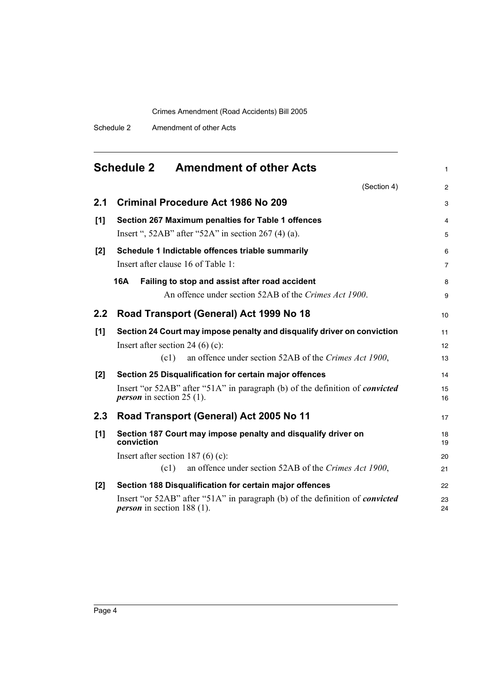Schedule 2 Amendment of other Acts

| <b>Schedule 2</b><br><b>Amendment of other Acts</b><br>1 |                                                                                                                          |          |  |
|----------------------------------------------------------|--------------------------------------------------------------------------------------------------------------------------|----------|--|
|                                                          | (Section 4)                                                                                                              | 2        |  |
| 2.1                                                      | <b>Criminal Procedure Act 1986 No 209</b>                                                                                | 3        |  |
| [1]                                                      | Section 267 Maximum penalties for Table 1 offences                                                                       | 4        |  |
|                                                          | Insert ", $52AB$ " after " $52A$ " in section $267(4)(a)$ .                                                              | 5        |  |
| [2]                                                      | Schedule 1 Indictable offences triable summarily                                                                         | 6        |  |
|                                                          | Insert after clause 16 of Table 1:                                                                                       | 7        |  |
|                                                          | <b>16A</b><br>Failing to stop and assist after road accident                                                             | 8        |  |
|                                                          | An offence under section 52AB of the Crimes Act 1900.                                                                    | 9        |  |
| $2.2\phantom{0}$                                         | Road Transport (General) Act 1999 No 18                                                                                  | 10       |  |
| [1]                                                      | Section 24 Court may impose penalty and disqualify driver on conviction                                                  | 11       |  |
|                                                          | Insert after section 24 (6) (c):                                                                                         | 12       |  |
|                                                          | an offence under section 52AB of the Crimes Act 1900,<br>(c1)                                                            | 13       |  |
| [2]                                                      | Section 25 Disqualification for certain major offences                                                                   | 14       |  |
|                                                          | Insert "or 52AB" after "51A" in paragraph (b) of the definition of <i>convicted</i><br><i>person</i> in section 25 (1).  | 15<br>16 |  |
| 2.3                                                      | Road Transport (General) Act 2005 No 11                                                                                  | 17       |  |
| [1]                                                      | Section 187 Court may impose penalty and disqualify driver on<br>conviction                                              | 18<br>19 |  |
|                                                          | Insert after section 187 $(6)(c)$ :                                                                                      | 20       |  |
|                                                          | an offence under section 52AB of the Crimes Act 1900,<br>(c1)                                                            | 21       |  |
| [2]                                                      | Section 188 Disqualification for certain major offences                                                                  | 22       |  |
|                                                          | Insert "or 52AB" after "51A" in paragraph (b) of the definition of <i>convicted</i><br><i>person</i> in section 188 (1). | 23<br>24 |  |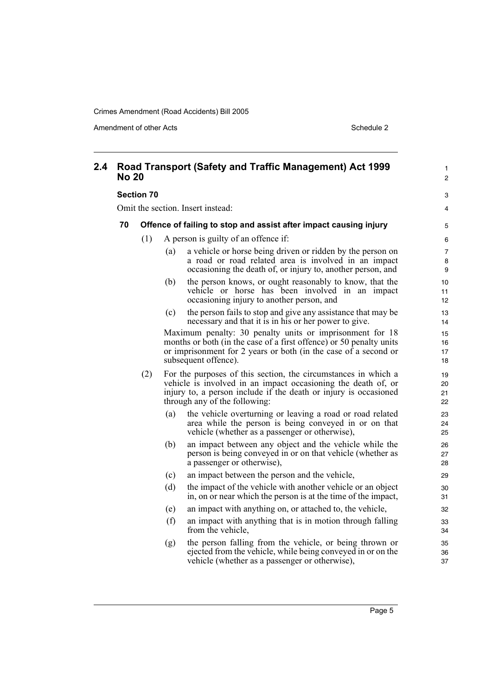Amendment of other Acts Schedule 2

| 2.4 | <b>No 20</b> |                   |     | Road Transport (Safety and Traffic Management) Act 1999                                                                                                                                                                              | 1<br>$\overline{c}$  |
|-----|--------------|-------------------|-----|--------------------------------------------------------------------------------------------------------------------------------------------------------------------------------------------------------------------------------------|----------------------|
|     |              | <b>Section 70</b> |     |                                                                                                                                                                                                                                      | 3                    |
|     |              |                   |     | Omit the section. Insert instead:                                                                                                                                                                                                    | 4                    |
|     | 70           |                   |     | Offence of failing to stop and assist after impact causing injury                                                                                                                                                                    | 5                    |
|     |              | (1)               |     | A person is guilty of an offence if:                                                                                                                                                                                                 | 6                    |
|     |              |                   | (a) | a vehicle or horse being driven or ridden by the person on<br>a road or road related area is involved in an impact<br>occasioning the death of, or injury to, another person, and                                                    | 7<br>8<br>9          |
|     |              |                   | (b) | the person knows, or ought reasonably to know, that the<br>vehicle or horse has been involved in an impact<br>occasioning injury to another person, and                                                                              | 10<br>11<br>12       |
|     |              |                   | (c) | the person fails to stop and give any assistance that may be<br>necessary and that it is in his or her power to give.                                                                                                                | 13<br>14             |
|     |              |                   |     | Maximum penalty: 30 penalty units or imprisonment for 18<br>months or both (in the case of a first offence) or 50 penalty units<br>or imprisonment for 2 years or both (in the case of a second or<br>subsequent offence).           | 15<br>16<br>17<br>18 |
|     |              | (2)               |     | For the purposes of this section, the circumstances in which a<br>vehicle is involved in an impact occasioning the death of, or<br>injury to, a person include if the death or injury is occasioned<br>through any of the following: | 19<br>20<br>21<br>22 |
|     |              |                   | (a) | the vehicle overturning or leaving a road or road related<br>area while the person is being conveyed in or on that<br>vehicle (whether as a passenger or otherwise),                                                                 | 23<br>24<br>25       |
|     |              |                   | (b) | an impact between any object and the vehicle while the<br>person is being conveyed in or on that vehicle (whether as<br>a passenger or otherwise),                                                                                   | 26<br>27<br>28       |
|     |              |                   | (c) | an impact between the person and the vehicle,                                                                                                                                                                                        | 29                   |
|     |              |                   | (d) | the impact of the vehicle with another vehicle or an object<br>in, on or near which the person is at the time of the impact,                                                                                                         | 30<br>31             |
|     |              |                   | (e) | an impact with anything on, or attached to, the vehicle,                                                                                                                                                                             | 32                   |
|     |              |                   | (f) | an impact with anything that is in motion through falling<br>from the vehicle,                                                                                                                                                       | 33<br>34             |
|     |              |                   | (g) | the person falling from the vehicle, or being thrown or<br>ejected from the vehicle, while being conveyed in or on the<br>vehicle (whether as a passenger or otherwise),                                                             | 35<br>36<br>37       |